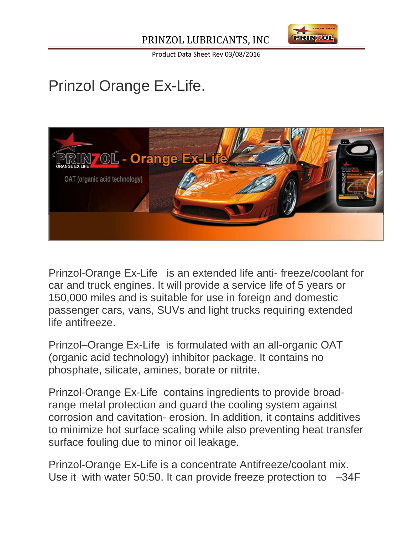

Product Data Sheet Rev 03/08/2016

## Prinzol Orange Ex-Life.



Prinzol-Orange Ex-Life is an extended life anti- freeze/coolant for car and truck engines. It will provide a service life of 5 years or 150,000 miles and is suitable for use in foreign and domestic passenger cars, vans, SUVs and light trucks requiring extended life antifreeze.

Prinzol–Orange Ex-Life is formulated with an all-organic OAT (organic acid technology) inhibitor package. It contains no phosphate, silicate, amines, borate or nitrite.

Prinzol-Orange Ex-Life contains ingredients to provide broadrange metal protection and guard the cooling system against corrosion and cavitation- erosion. In addition, it contains additives to minimize hot surface scaling while also preventing heat transfer surface fouling due to minor oil leakage.

Prinzol-Orange Ex-Life is a concentrate Antifreeze/coolant mix. Use it with water 50:50. It can provide freeze protection to –34F